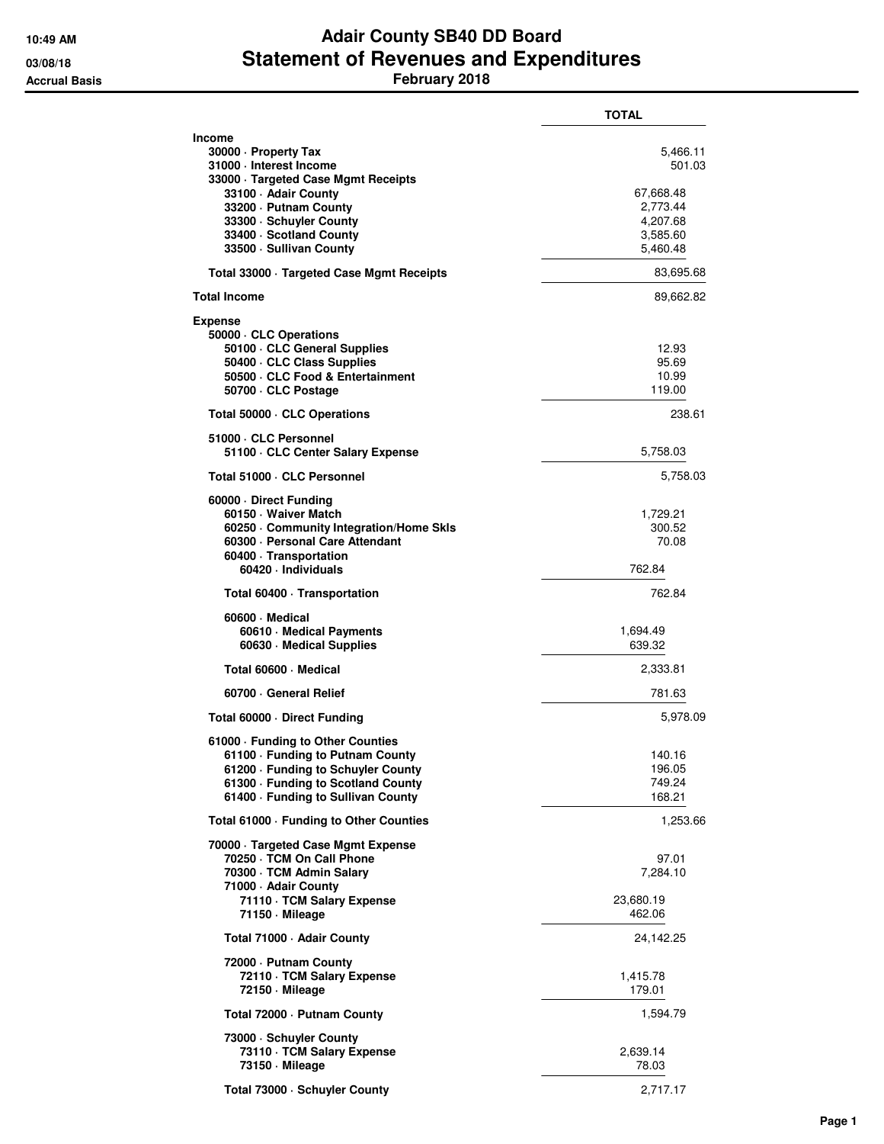## **10:49 AM Adair County SB40 DD Board 03/08/18 Statement of Revenues and Expenditures Accrual Basis February 2018**

|                                                                                                                                                                                                                                    | TOTAL                                                                           |
|------------------------------------------------------------------------------------------------------------------------------------------------------------------------------------------------------------------------------------|---------------------------------------------------------------------------------|
| Income<br>30000 · Property Tax<br>31000 · Interest Income<br>33000 · Targeted Case Mgmt Receipts<br>33100 · Adair County<br>33200 - Putnam County<br>33300 · Schuyler County<br>33400 · Scotland County<br>33500 · Sullivan County | 5,466.11<br>501.03<br>67,668.48<br>2,773.44<br>4,207.68<br>3,585.60<br>5,460.48 |
| Total 33000 · Targeted Case Mgmt Receipts                                                                                                                                                                                          | 83,695.68                                                                       |
| <b>Total Income</b>                                                                                                                                                                                                                | 89,662.82                                                                       |
| <b>Expense</b><br>50000 · CLC Operations<br>50100 · CLC General Supplies<br>50400 CLC Class Supplies<br>50500 · CLC Food & Entertainment<br>50700 · CLC Postage                                                                    | 12.93<br>95.69<br>10.99<br>119.00                                               |
| Total 50000 · CLC Operations                                                                                                                                                                                                       | 238.61                                                                          |
| 51000 · CLC Personnel<br>51100 CLC Center Salary Expense                                                                                                                                                                           | 5,758.03                                                                        |
| Total 51000 · CLC Personnel                                                                                                                                                                                                        | 5,758.03                                                                        |
| 60000 · Direct Funding<br>60150 · Waiver Match<br>60250 Community Integration/Home Skls<br>60300 - Personal Care Attendant<br>60400 Transportation<br>60420 · Individuals                                                          | 1,729.21<br>300.52<br>70.08<br>762.84                                           |
| Total 60400 · Transportation                                                                                                                                                                                                       | 762.84                                                                          |
| 60600 Medical<br>60610 · Medical Payments<br>60630 · Medical Supplies                                                                                                                                                              | 1,694.49<br>639.32                                                              |
| Total 60600 · Medical                                                                                                                                                                                                              | 2,333.81                                                                        |
| 60700 General Relief                                                                                                                                                                                                               | 781.63                                                                          |
| Total 60000 · Direct Funding                                                                                                                                                                                                       | 5,978.09                                                                        |
| 61000 · Funding to Other Counties<br>61100 · Funding to Putnam County<br>61200 - Funding to Schuyler County<br>61300 - Funding to Scotland County<br>61400 - Funding to Sullivan County                                            | 140.16<br>196.05<br>749.24<br>168.21                                            |
| Total 61000 · Funding to Other Counties                                                                                                                                                                                            | 1,253.66                                                                        |
| 70000 · Targeted Case Mgmt Expense<br>70250 · TCM On Call Phone<br>70300 · TCM Admin Salary<br>71000 - Adair County<br>71110 · TCM Salary Expense<br>71150 · Mileage                                                               | 97.01<br>7,284.10<br>23,680.19<br>462.06                                        |
| Total 71000 - Adair County                                                                                                                                                                                                         | 24,142.25                                                                       |
| 72000 - Putnam County<br>72110 · TCM Salary Expense<br>72150 - Mileage                                                                                                                                                             | 1,415.78<br>179.01                                                              |
| Total 72000 · Putnam County                                                                                                                                                                                                        | 1,594.79                                                                        |
| 73000 · Schuyler County<br>73110 · TCM Salary Expense<br>73150 · Mileage                                                                                                                                                           | 2,639.14<br>78.03                                                               |
| Total 73000 · Schuyler County                                                                                                                                                                                                      | 2,717.17                                                                        |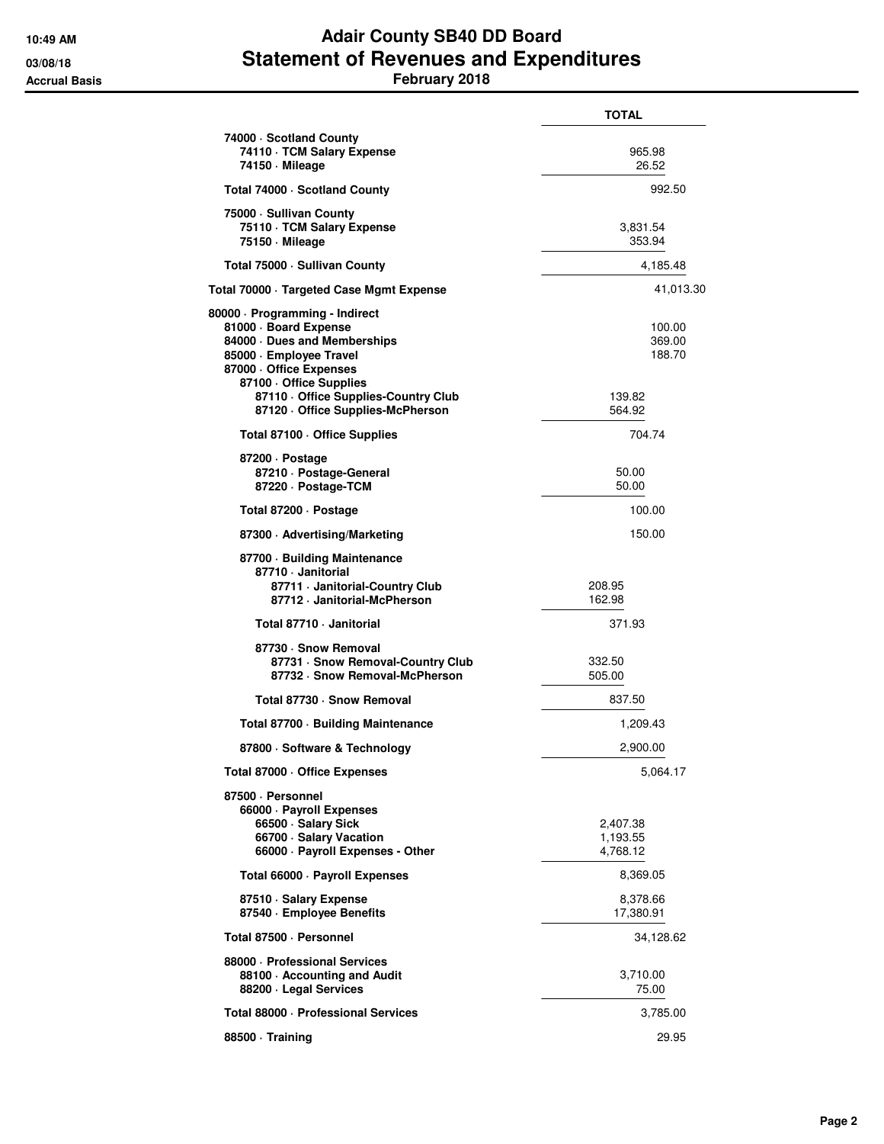## **10:49 AM Adair County SB40 DD Board 03/08/18 Statement of Revenues and Expenditures Accrual Basis February 2018**

|                                                                                                                                                                                                                                                   | <b>TOTAL</b>                                   |
|---------------------------------------------------------------------------------------------------------------------------------------------------------------------------------------------------------------------------------------------------|------------------------------------------------|
| 74000 · Scotland County<br>74110 · TCM Salary Expense<br>74150 · Mileage                                                                                                                                                                          | 965.98<br>26.52                                |
| Total 74000 · Scotland County                                                                                                                                                                                                                     | 992.50                                         |
| 75000 - Sullivan County<br>75110 · TCM Salary Expense<br>75150 - Mileage                                                                                                                                                                          | 3,831.54<br>353.94                             |
| Total 75000 - Sullivan County                                                                                                                                                                                                                     | 4,185.48                                       |
| Total 70000 · Targeted Case Mgmt Expense                                                                                                                                                                                                          | 41,013.30                                      |
| 80000 · Programming - Indirect<br>81000 · Board Expense<br>84000 Dues and Memberships<br>85000 · Employee Travel<br>87000 - Office Expenses<br>87100 · Office Supplies<br>87110 - Office Supplies-Country Club<br>87120 Office Supplies-McPherson | 100.00<br>369.00<br>188.70<br>139.82<br>564.92 |
| Total 87100 · Office Supplies                                                                                                                                                                                                                     | 704.74                                         |
| 87200 Dostage<br>87210 · Postage-General<br>87220 · Postage-TCM                                                                                                                                                                                   | 50.00<br>50.00                                 |
| Total 87200 · Postage                                                                                                                                                                                                                             | 100.00                                         |
| 87300 Advertising/Marketing                                                                                                                                                                                                                       | 150.00                                         |
| 87700 · Building Maintenance<br>87710 - Janitorial<br>87711 · Janitorial-Country Club<br>87712 · Janitorial-McPherson                                                                                                                             | 208.95<br>162.98                               |
| Total 87710 - Janitorial                                                                                                                                                                                                                          | 371.93                                         |
| 87730 · Snow Removal<br>87731 · Snow Removal-Country Club<br>87732 · Snow Removal-McPherson                                                                                                                                                       | 332.50<br>505.00                               |
| Total 87730 - Snow Removal                                                                                                                                                                                                                        | 837.50                                         |
| Total 87700 · Building Maintenance                                                                                                                                                                                                                | 1,209.43                                       |
| 87800 · Software & Technology                                                                                                                                                                                                                     | 2,900.00                                       |
| Total 87000 · Office Expenses                                                                                                                                                                                                                     | 5,064.17                                       |
| 87500 · Personnel<br>66000 · Payroll Expenses<br>66500 · Salary Sick<br>66700 · Salary Vacation<br>66000 · Payroll Expenses - Other                                                                                                               | 2,407.38<br>1,193.55<br>4,768.12               |
| Total 66000 · Payroll Expenses                                                                                                                                                                                                                    | 8,369.05                                       |
| 87510 · Salary Expense<br>87540 · Employee Benefits                                                                                                                                                                                               | 8,378.66<br>17,380.91                          |
| Total 87500 · Personnel                                                                                                                                                                                                                           | 34,128.62                                      |
| 88000 - Professional Services<br>88100 · Accounting and Audit<br>88200 · Legal Services                                                                                                                                                           | 3,710.00<br>75.00                              |
| Total 88000 · Professional Services                                                                                                                                                                                                               | 3,785.00                                       |
| 88500 Training                                                                                                                                                                                                                                    | 29.95                                          |